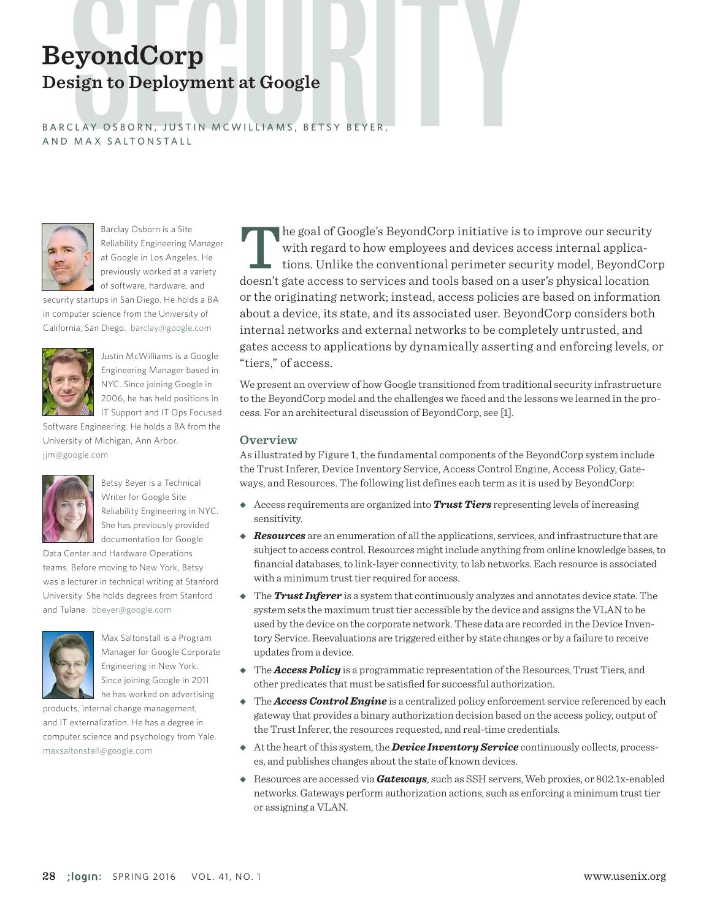# **BeyondCorp**<br>Design to Deployment at Google<br>BARCLAY OSBORN, JUSTIN MCWILLIAMS, BETSY BEYER, **Design to Deployment at Google**

B A R C L A Y O S B O R N , JUST IN MC WILLIAMS, BETS Y BEYER, AND MAX SALTONSTALL



Barclay Osborn is a Site Reliability Engineering Manager at Google in Los Angeles. He previously worked at a variety of software, hardware, and

security startups in San Diego. He holds a BA in computer science from the University of California, San Diego. barclay@google.com



Justin McWilliams is a Google Engineering Manager based in NYC. Since joining Google in 2006, he has held positions in IT Support and IT Ops Focused

Software Engineering. He holds a BA from the University of Michigan, Ann Arbor. jjm@google.com



Betsy Beyer is a Technical Writer for Google Site Reliability Engineering in NYC. She has previously provided documentation for Google

Data Center and Hardware Operations teams. Before moving to New York, Betsy was a lecturer in technical writing at Stanford University. She holds degrees from Stanford and Tulane. bbeyer@google.com



Max Saltonstall is a Program Manager for Google Corporate Engineering in New York. Since joining Google in 2011 he has worked on advertising

products, internal change management, and IT externalization. He has a degree in computer science and psychology from Yale. maxsaltonstall@google.com

 $\parallel$  he goal of Google's BeyondCorp initiative is to improve our security with regard to how employees and devices access internal applications. Unlike the conventional perimeter security model, BeyondCorp doesn't gate access to services and tools based on a user's physical location or the originating network; instead, access policies are based on information about a device, its state, and its associated user. BeyondCorp considers both internal networks and external networks to be completely untrusted, and gates access to applications by dynamically asserting and enforcing levels, or "tiers," of access.

We present an overview of how Google transitioned from traditional security infrastructure to the BeyondCorp model and the challenges we faced and the lessons we learned in the process. For an architectural discussion of BeyondCorp, see [1].

#### **Overview**

As illustrated by Figure 1, the fundamental components of the BeyondCorp system include the Trust Inferer, Device Inventory Service, Access Control Engine, Access Policy, Gateways, and Resources. The following list defines each term as it is used by BeyondCorp:

- ◆ Access requirements are organized into **Trust Tiers** representing levels of increasing sensitivity.
- ◆ *Resources* are an enumeration of all the applications, services, and infrastructure that are subject to access control. Resources might include anything from online knowledge bases, to financial databases, to link-layer connectivity, to lab networks. Each resource is associated with a minimum trust tier required for access.
- ◆ The **Trust Inferer** is a system that continuously analyzes and annotates device state. The system sets the maximum trust tier accessible by the device and assigns the VLAN to be used by the device on the corporate network. These data are recorded in the Device Inventory Service. Reevaluations are triggered either by state changes or by a failure to receive updates from a device.
- ◆ The *Access Policy* is a programmatic representation of the Resources, Trust Tiers, and other predicates that must be satisfied for successful authorization.
- ◆ The *Access Control Engine* is a centralized policy enforcement service referenced by each gateway that provides a binary authorization decision based on the access policy, output of the Trust Inferer, the resources requested, and real-time credentials.
- ◆ At the heart of this system, the *Device Inventory Service* continuously collects, processes, and publishes changes about the state of known devices.
- ◆ Resources are accessed via *Gateways*, such as SSH servers, Web proxies, or 802.1x-enabled networks. Gateways perform authorization actions, such as enforcing a minimum trust tier or assigning a VLAN.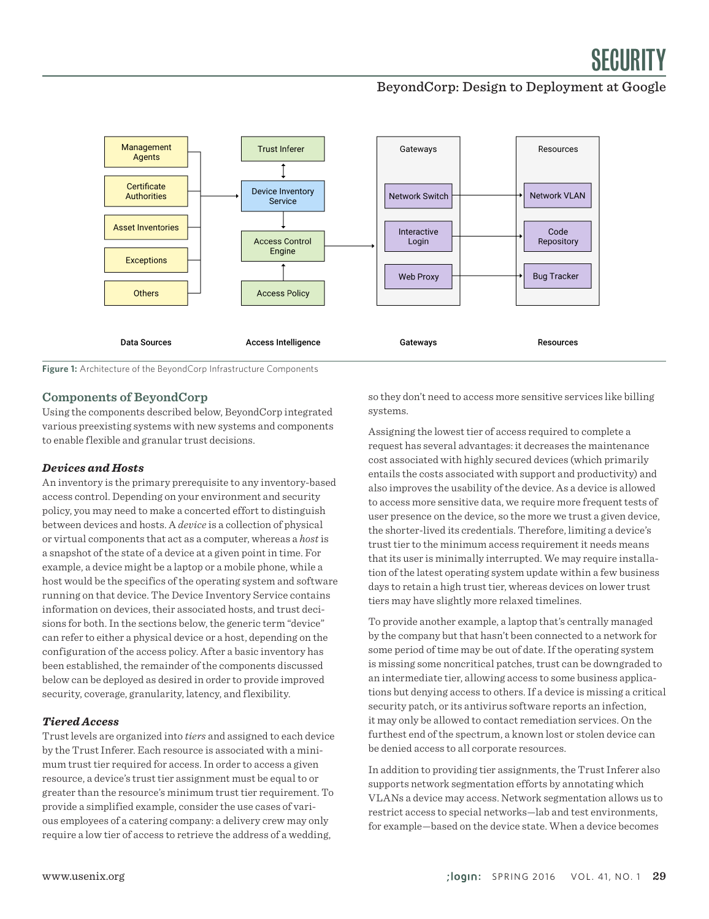#### BeyondCorp: Design to Deployment at Google



**Figure 1:** Architecture of the BeyondCorp Infrastructure Components

#### **Components of BeyondCorp**

Using the components described below, BeyondCorp integrated various preexisting systems with new systems and components to enable flexible and granular trust decisions.

#### *Devices and Hosts*

An inventory is the primary prerequisite to any inventory-based access control. Depending on your environment and security policy, you may need to make a concerted effort to distinguish between devices and hosts. A *device* is a collection of physical or virtual components that act as a computer, whereas a *host* is a snapshot of the state of a device at a given point in time. For example, a device might be a laptop or a mobile phone, while a host would be the specifics of the operating system and software running on that device. The Device Inventory Service contains information on devices, their associated hosts, and trust decisions for both. In the sections below, the generic term "device" can refer to either a physical device or a host, depending on the configuration of the access policy. After a basic inventory has been established, the remainder of the components discussed below can be deployed as desired in order to provide improved security, coverage, granularity, latency, and flexibility.

#### *Tiered Access*

Trust levels are organized into *tiers* and assigned to each device by the Trust Inferer. Each resource is associated with a minimum trust tier required for access. In order to access a given resource, a device's trust tier assignment must be equal to or greater than the resource's minimum trust tier requirement. To provide a simplified example, consider the use cases of various employees of a catering company: a delivery crew may only require a low tier of access to retrieve the address of a wedding,

so they don't need to access more sensitive services like billing systems.

Assigning the lowest tier of access required to complete a request has several advantages: it decreases the maintenance cost associated with highly secured devices (which primarily entails the costs associated with support and productivity) and also improves the usability of the device. As a device is allowed to access more sensitive data, we require more frequent tests of user presence on the device, so the more we trust a given device, the shorter-lived its credentials. Therefore, limiting a device's trust tier to the minimum access requirement it needs means that its user is minimally interrupted. We may require installation of the latest operating system update within a few business days to retain a high trust tier, whereas devices on lower trust tiers may have slightly more relaxed timelines.

To provide another example, a laptop that's centrally managed by the company but that hasn't been connected to a network for some period of time may be out of date. If the operating system is missing some noncritical patches, trust can be downgraded to an intermediate tier, allowing access to some business applications but denying access to others. If a device is missing a critical security patch, or its antivirus software reports an infection, it may only be allowed to contact remediation services. On the furthest end of the spectrum, a known lost or stolen device can be denied access to all corporate resources.

In addition to providing tier assignments, the Trust Inferer also supports network segmentation efforts by annotating which VLANs a device may access. Network segmentation allows us to restrict access to special networks—lab and test environments, for example—based on the device state. When a device becomes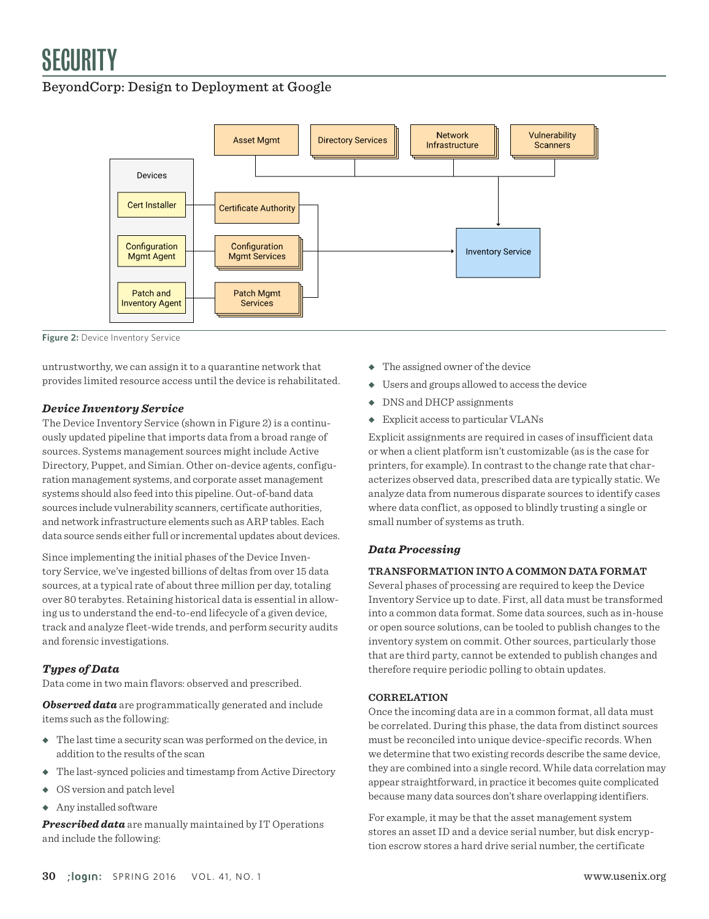#### BeyondCorp: Design to Deployment at Google



**Figure 2:** Device Inventory Service

untrustworthy, we can assign it to a quarantine network that provides limited resource access until the device is rehabilitated.

#### *Device Inventory Service*

The Device Inventory Service (shown in Figure 2) is a continuously updated pipeline that imports data from a broad range of sources. Systems management sources might include Active Directory, Puppet, and Simian. Other on-device agents, configuration management systems, and corporate asset management systems should also feed into this pipeline. Out-of-band data sources include vulnerability scanners, certificate authorities, and network infrastructure elements such as ARP tables. Each data source sends either full or incremental updates about devices.

Since implementing the initial phases of the Device Inventory Service, we've ingested billions of deltas from over 15 data sources, at a typical rate of about three million per day, totaling over 80 terabytes. Retaining historical data is essential in allowing us to understand the end-to-end lifecycle of a given device, track and analyze fleet-wide trends, and perform security audits and forensic investigations.

#### *Types of Data*

Data come in two main flavors: observed and prescribed.

*Observed data* are programmatically generated and include items such as the following:

- ◆ The last time a security scan was performed on the device, in addition to the results of the scan
- ◆ The last-synced policies and timestamp from Active Directory
- ◆ OS version and patch level
- ◆ Any installed software

*Prescribed data* are manually maintained by IT Operations and include the following:

- ◆ The assigned owner of the device
- ◆ Users and groups allowed to access the device
- ◆ DNS and DHCP assignments
- ◆ Explicit access to particular VLANs

Explicit assignments are required in cases of insufficient data or when a client platform isn't customizable (as is the case for printers, for example). In contrast to the change rate that characterizes observed data, prescribed data are typically static. We analyze data from numerous disparate sources to identify cases where data conflict, as opposed to blindly trusting a single or small number of systems as truth.

#### *Data Processing*

#### **TRANSFORMATION INTO A COMMON DATA FORMAT**

Several phases of processing are required to keep the Device Inventory Service up to date. First, all data must be transformed into a common data format. Some data sources, such as in-house or open source solutions, can be tooled to publish changes to the inventory system on commit. Other sources, particularly those that are third party, cannot be extended to publish changes and therefore require periodic polling to obtain updates.

#### **CORRELATION**

Once the incoming data are in a common format, all data must be correlated. During this phase, the data from distinct sources must be reconciled into unique device-specific records. When we determine that two existing records describe the same device, they are combined into a single record. While data correlation may appear straightforward, in practice it becomes quite complicated because many data sources don't share overlapping identifiers.

For example, it may be that the asset management system stores an asset ID and a device serial number, but disk encryption escrow stores a hard drive serial number, the certificate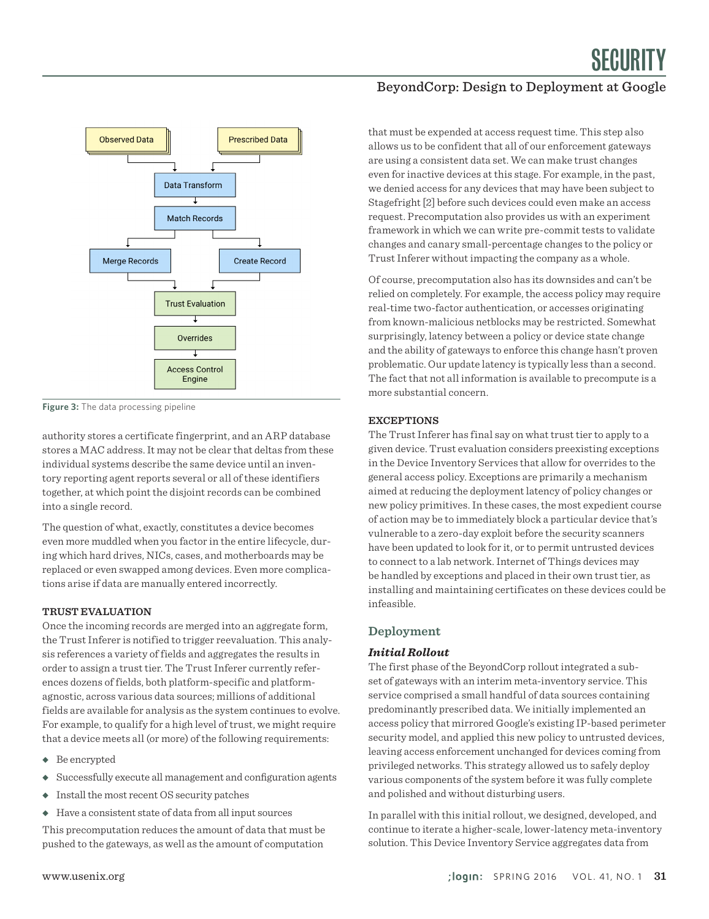

**Figure 3:** The data processing pipeline

authority stores a certificate fingerprint, and an ARP database stores a MAC address. It may not be clear that deltas from these individual systems describe the same device until an inventory reporting agent reports several or all of these identifiers together, at which point the disjoint records can be combined into a single record.

The question of what, exactly, constitutes a device becomes even more muddled when you factor in the entire lifecycle, during which hard drives, NICs, cases, and motherboards may be replaced or even swapped among devices. Even more complications arise if data are manually entered incorrectly.

#### **TRUST EVALUATION**

Once the incoming records are merged into an aggregate form, the Trust Inferer is notified to trigger reevaluation. This analysis references a variety of fields and aggregates the results in order to assign a trust tier. The Trust Inferer currently references dozens of fields, both platform-specific and platformagnostic, across various data sources; millions of additional fields are available for analysis as the system continues to evolve. For example, to qualify for a high level of trust, we might require that a device meets all (or more) of the following requirements:

- ◆ Be encrypted
- ◆ Successfully execute all management and configuration agents
- ◆ Install the most recent OS security patches
- ◆ Have a consistent state of data from all input sources

This precomputation reduces the amount of data that must be pushed to the gateways, as well as the amount of computation

#### BeyondCorp: Design to Deployment at Google

that must be expended at access request time. This step also allows us to be confident that all of our enforcement gateways are using a consistent data set. We can make trust changes even for inactive devices at this stage. For example, in the past, we denied access for any devices that may have been subject to Stagefright [2] before such devices could even make an access request. Precomputation also provides us with an experiment framework in which we can write pre-commit tests to validate changes and canary small-percentage changes to the policy or Trust Inferer without impacting the company as a whole.

Of course, precomputation also has its downsides and can't be relied on completely. For example, the access policy may require real-time two-factor authentication, or accesses originating from known-malicious netblocks may be restricted. Somewhat surprisingly, latency between a policy or device state change and the ability of gateways to enforce this change hasn't proven problematic. Our update latency is typically less than a second. The fact that not all information is available to precompute is a more substantial concern.

#### **EXCEPTIONS**

The Trust Inferer has final say on what trust tier to apply to a given device. Trust evaluation considers preexisting exceptions in the Device Inventory Services that allow for overrides to the general access policy. Exceptions are primarily a mechanism aimed at reducing the deployment latency of policy changes or new policy primitives. In these cases, the most expedient course of action may be to immediately block a particular device that's vulnerable to a zero-day exploit before the security scanners have been updated to look for it, or to permit untrusted devices to connect to a lab network. Internet of Things devices may be handled by exceptions and placed in their own trust tier, as installing and maintaining certificates on these devices could be infeasible.

#### **Deployment**

#### *Initial Rollout*

The first phase of the BeyondCorp rollout integrated a subset of gateways with an interim meta-inventory service. This service comprised a small handful of data sources containing predominantly prescribed data. We initially implemented an access policy that mirrored Google's existing IP-based perimeter security model, and applied this new policy to untrusted devices, leaving access enforcement unchanged for devices coming from privileged networks. This strategy allowed us to safely deploy various components of the system before it was fully complete and polished and without disturbing users.

In parallel with this initial rollout, we designed, developed, and continue to iterate a higher-scale, lower-latency meta-inventory solution. This Device Inventory Service aggregates data from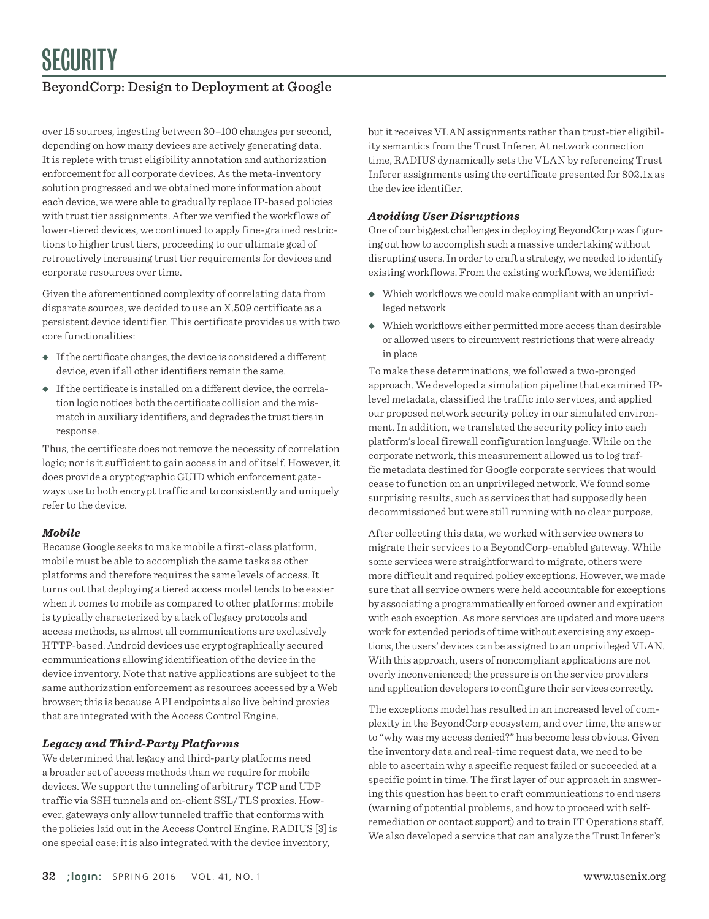### BeyondCorp: Design to Deployment at Google

over 15 sources, ingesting between 30–100 changes per second, depending on how many devices are actively generating data. It is replete with trust eligibility annotation and authorization enforcement for all corporate devices. As the meta-inventory solution progressed and we obtained more information about each device, we were able to gradually replace IP-based policies with trust tier assignments. After we verified the workflows of lower-tiered devices, we continued to apply fine-grained restrictions to higher trust tiers, proceeding to our ultimate goal of retroactively increasing trust tier requirements for devices and corporate resources over time.

Given the aforementioned complexity of correlating data from disparate sources, we decided to use an X.509 certificate as a persistent device identifier. This certificate provides us with two core functionalities:

- ◆ If the certificate changes, the device is considered a different device, even if all other identifiers remain the same.
- ◆ If the certificate is installed on a different device, the correlation logic notices both the certificate collision and the mismatch in auxiliary identifiers, and degrades the trust tiers in response.

Thus, the certificate does not remove the necessity of correlation logic; nor is it sufficient to gain access in and of itself. However, it does provide a cryptographic GUID which enforcement gateways use to both encrypt traffic and to consistently and uniquely refer to the device.

#### *Mobile*

Because Google seeks to make mobile a first-class platform, mobile must be able to accomplish the same tasks as other platforms and therefore requires the same levels of access. It turns out that deploying a tiered access model tends to be easier when it comes to mobile as compared to other platforms: mobile is typically characterized by a lack of legacy protocols and access methods, as almost all communications are exclusively HTTP-based. Android devices use cryptographically secured communications allowing identification of the device in the device inventory. Note that native applications are subject to the same authorization enforcement as resources accessed by a Web browser; this is because API endpoints also live behind proxies that are integrated with the Access Control Engine.

#### *Legacy and Third-Party Platforms*

We determined that legacy and third-party platforms need a broader set of access methods than we require for mobile devices. We support the tunneling of arbitrary TCP and UDP traffic via SSH tunnels and on-client SSL/TLS proxies. However, gateways only allow tunneled traffic that conforms with the policies laid out in the Access Control Engine. RADIUS [3] is one special case: it is also integrated with the device inventory,

but it receives VLAN assignments rather than trust-tier eligibility semantics from the Trust Inferer. At network connection time, RADIUS dynamically sets the VLAN by referencing Trust Inferer assignments using the certificate presented for 802.1x as the device identifier.

#### *Avoiding User Disruptions*

One of our biggest challenges in deploying BeyondCorp was figuring out how to accomplish such a massive undertaking without disrupting users. In order to craft a strategy, we needed to identify existing workflows. From the existing workflows, we identified:

- ◆ Which workflows we could make compliant with an unprivileged network
- ◆ Which workflows either permitted more access than desirable or allowed users to circumvent restrictions that were already in place

To make these determinations, we followed a two-pronged approach. We developed a simulation pipeline that examined IPlevel metadata, classified the traffic into services, and applied our proposed network security policy in our simulated environment. In addition, we translated the security policy into each platform's local firewall configuration language. While on the corporate network, this measurement allowed us to log traffic metadata destined for Google corporate services that would cease to function on an unprivileged network. We found some surprising results, such as services that had supposedly been decommissioned but were still running with no clear purpose.

After collecting this data, we worked with service owners to migrate their services to a BeyondCorp-enabled gateway. While some services were straightforward to migrate, others were more difficult and required policy exceptions. However, we made sure that all service owners were held accountable for exceptions by associating a programmatically enforced owner and expiration with each exception. As more services are updated and more users work for extended periods of time without exercising any exceptions, the users' devices can be assigned to an unprivileged VLAN. With this approach, users of noncompliant applications are not overly inconvenienced; the pressure is on the service providers and application developers to configure their services correctly.

The exceptions model has resulted in an increased level of complexity in the BeyondCorp ecosystem, and over time, the answer to "why was my access denied?" has become less obvious. Given the inventory data and real-time request data, we need to be able to ascertain why a specific request failed or succeeded at a specific point in time. The first layer of our approach in answering this question has been to craft communications to end users (warning of potential problems, and how to proceed with selfremediation or contact support) and to train IT Operations staff. We also developed a service that can analyze the Trust Inferer's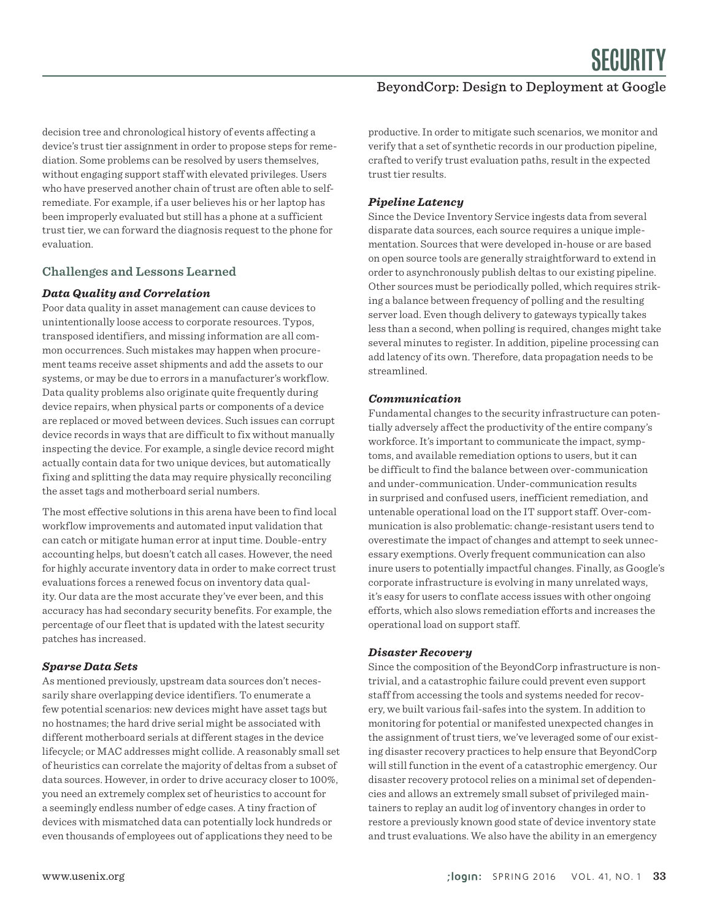#### BeyondCorp: Design to Deployment at Google

decision tree and chronological history of events affecting a device's trust tier assignment in order to propose steps for remediation. Some problems can be resolved by users themselves, without engaging support staff with elevated privileges. Users who have preserved another chain of trust are often able to selfremediate. For example, if a user believes his or her laptop has been improperly evaluated but still has a phone at a sufficient trust tier, we can forward the diagnosis request to the phone for evaluation.

#### **Challenges and Lessons Learned**

#### *Data Quality and Correlation*

Poor data quality in asset management can cause devices to unintentionally loose access to corporate resources. Typos, transposed identifiers, and missing information are all common occurrences. Such mistakes may happen when procurement teams receive asset shipments and add the assets to our systems, or may be due to errors in a manufacturer's workflow. Data quality problems also originate quite frequently during device repairs, when physical parts or components of a device are replaced or moved between devices. Such issues can corrupt device records in ways that are difficult to fix without manually inspecting the device. For example, a single device record might actually contain data for two unique devices, but automatically fixing and splitting the data may require physically reconciling the asset tags and motherboard serial numbers.

The most effective solutions in this arena have been to find local workflow improvements and automated input validation that can catch or mitigate human error at input time. Double-entry accounting helps, but doesn't catch all cases. However, the need for highly accurate inventory data in order to make correct trust evaluations forces a renewed focus on inventory data quality. Our data are the most accurate they've ever been, and this accuracy has had secondary security benefits. For example, the percentage of our fleet that is updated with the latest security patches has increased.

#### *Sparse Data Sets*

As mentioned previously, upstream data sources don't necessarily share overlapping device identifiers. To enumerate a few potential scenarios: new devices might have asset tags but no hostnames; the hard drive serial might be associated with different motherboard serials at different stages in the device lifecycle; or MAC addresses might collide. A reasonably small set of heuristics can correlate the majority of deltas from a subset of data sources. However, in order to drive accuracy closer to 100%, you need an extremely complex set of heuristics to account for a seemingly endless number of edge cases. A tiny fraction of devices with mismatched data can potentially lock hundreds or even thousands of employees out of applications they need to be

productive. In order to mitigate such scenarios, we monitor and verify that a set of synthetic records in our production pipeline, crafted to verify trust evaluation paths, result in the expected trust tier results.

#### *Pipeline Latency*

Since the Device Inventory Service ingests data from several disparate data sources, each source requires a unique implementation. Sources that were developed in-house or are based on open source tools are generally straightforward to extend in order to asynchronously publish deltas to our existing pipeline. Other sources must be periodically polled, which requires striking a balance between frequency of polling and the resulting server load. Even though delivery to gateways typically takes less than a second, when polling is required, changes might take several minutes to register. In addition, pipeline processing can add latency of its own. Therefore, data propagation needs to be streamlined.

#### *Communication*

Fundamental changes to the security infrastructure can potentially adversely affect the productivity of the entire company's workforce. It's important to communicate the impact, symptoms, and available remediation options to users, but it can be difficult to find the balance between over-communication and under-communication. Under-communication results in surprised and confused users, inefficient remediation, and untenable operational load on the IT support staff. Over-communication is also problematic: change-resistant users tend to overestimate the impact of changes and attempt to seek unnecessary exemptions. Overly frequent communication can also inure users to potentially impactful changes. Finally, as Google's corporate infrastructure is evolving in many unrelated ways, it's easy for users to conflate access issues with other ongoing efforts, which also slows remediation efforts and increases the operational load on support staff.

#### *Disaster Recovery*

Since the composition of the BeyondCorp infrastructure is nontrivial, and a catastrophic failure could prevent even support staff from accessing the tools and systems needed for recovery, we built various fail-safes into the system. In addition to monitoring for potential or manifested unexpected changes in the assignment of trust tiers, we've leveraged some of our existing disaster recovery practices to help ensure that BeyondCorp will still function in the event of a catastrophic emergency. Our disaster recovery protocol relies on a minimal set of dependencies and allows an extremely small subset of privileged maintainers to replay an audit log of inventory changes in order to restore a previously known good state of device inventory state and trust evaluations. We also have the ability in an emergency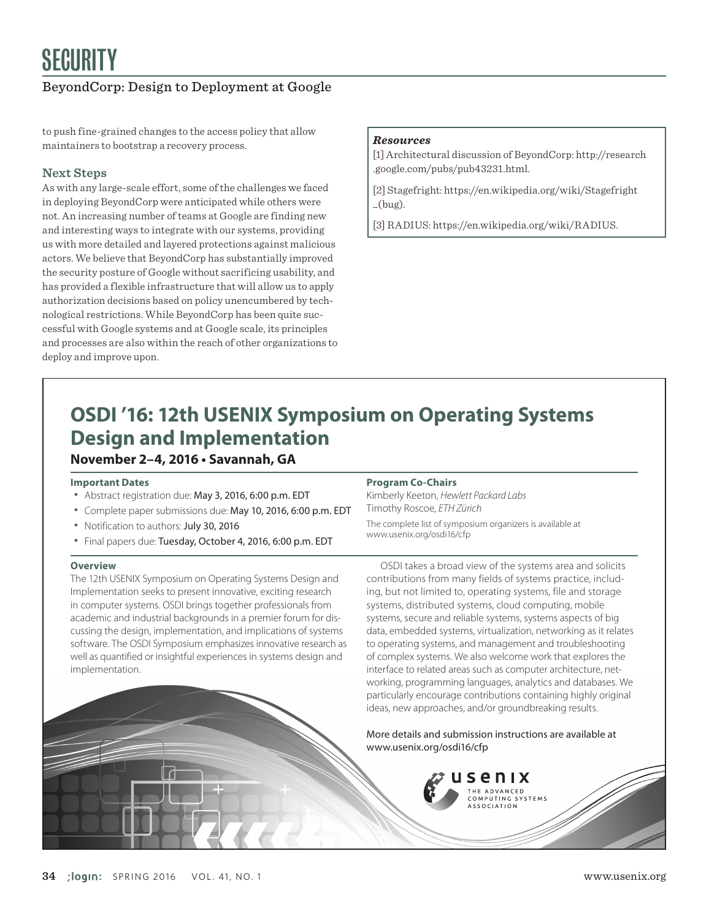#### BeyondCorp: Design to Deployment at Google

to push fine-grained changes to the access policy that allow maintainers to bootstrap a recovery process.

#### **Next Steps**

As with any large-scale effort, some of the challenges we faced in deploying BeyondCorp were anticipated while others were not. An increasing number of teams at Google are finding new and interesting ways to integrate with our systems, providing us with more detailed and layered protections against malicious actors. We believe that BeyondCorp has substantially improved the security posture of Google without sacrificing usability, and has provided a flexible infrastructure that will allow us to apply authorization decisions based on policy unencumbered by technological restrictions. While BeyondCorp has been quite successful with Google systems and at Google scale, its principles and processes are also within the reach of other organizations to deploy and improve upon.

#### *Resources*

[1] Architectural discussion of BeyondCorp: http://research .google.com/pubs/pub43231.html.

[2] Stagefright: https://en.wikipedia.org/wiki/Stagefright  $_{\rm -}($ bug).

[3] RADIUS: https://en.wikipedia.org/wiki/RADIUS.

## **November 2–4, 2016 • Savannah, GA OSDI '16: 12th USENIX Symposium on Operating Systems Design and Implementation**

#### **Important Dates**

- Abstract registration due: May 3, 2016, 6:00 p.m. EDT
- Complete paper submissions due: May 10, 2016, 6:00 p.m. EDT
- Notification to authors: July 30, 2016
- Final papers due: Tuesday, October 4, 2016, 6:00 p.m. EDT

#### **Overview**

The 12th USENIX Symposium on Operating Systems Design and Implementation seeks to present innovative, exciting research in computer systems. OSDI brings together professionals from academic and industrial backgrounds in a premier forum for discussing the design, implementation, and implications of systems software. The OSDI Symposium emphasizes innovative research as well as quantified or insightful experiences in systems design and implementation.

#### **Program Co-Chairs**

Kimberly Keeton, *Hewlett Packard Labs* Timothy Roscoe, *ETH Zürich*

The complete list of symposium organizers is available at www.usenix.org/osdi16/cfp

OSDI takes a broad view of the systems area and solicits contributions from many fields of systems practice, including, but not limited to, operating systems, file and storage systems, distributed systems, cloud computing, mobile systems, secure and reliable systems, systems aspects of big data, embedded systems, virtualization, networking as it relates to operating systems, and management and troubleshooting of complex systems. We also welcome work that explores the interface to related areas such as computer architecture, networking, programming languages, analytics and databases. We particularly encourage contributions containing highly original ideas, new approaches, and/or groundbreaking results.

More details and submission instructions are available at www.usenix.org/osdi16/cfp

> senix THE ADVANCED COMPUTING SYSTEMS<br>ASSOCIATION